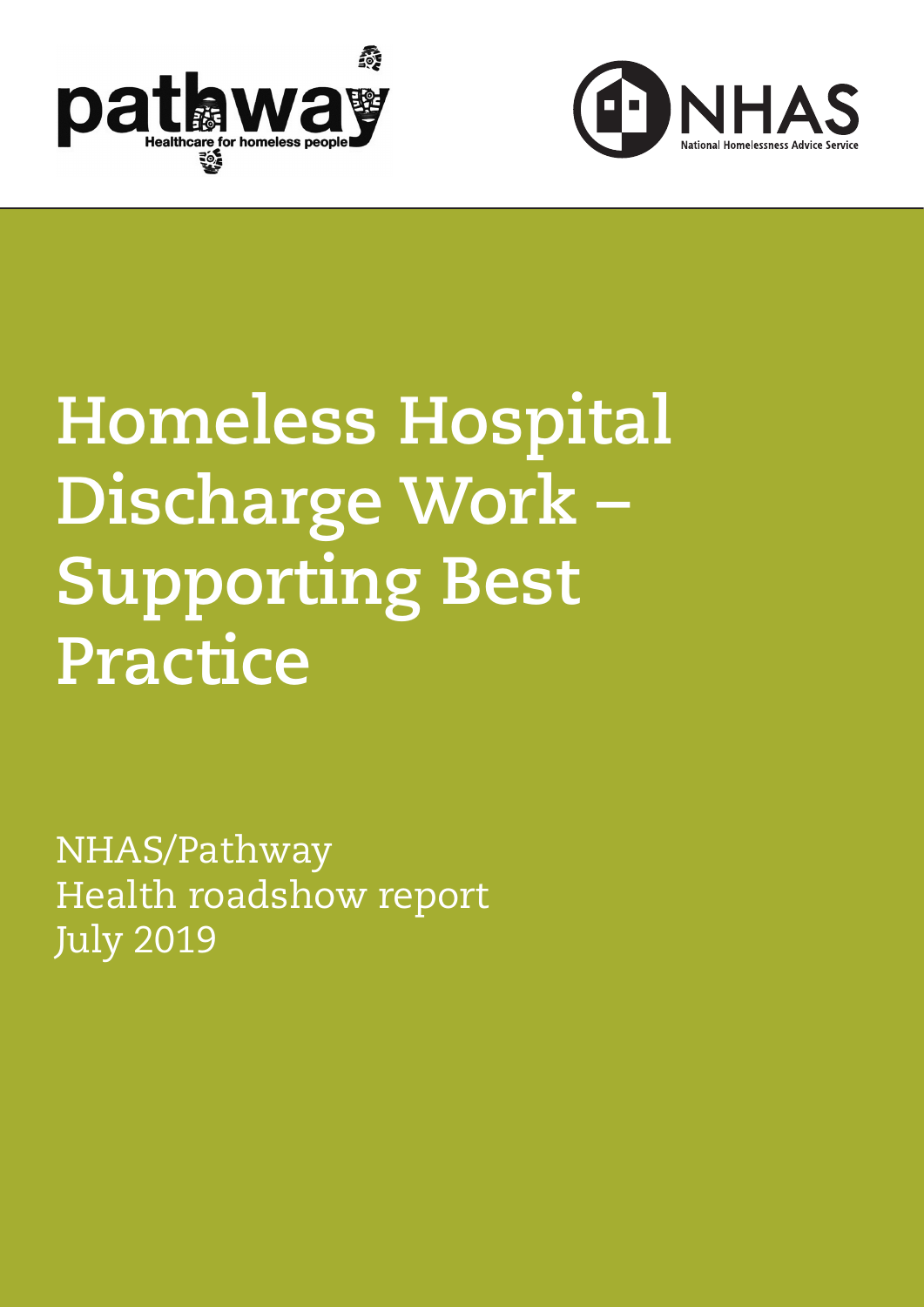



# **Homeless Hospital Discharge Work – Supporting Best Practice**

NHAS/Pathway Health roadshow report July 2019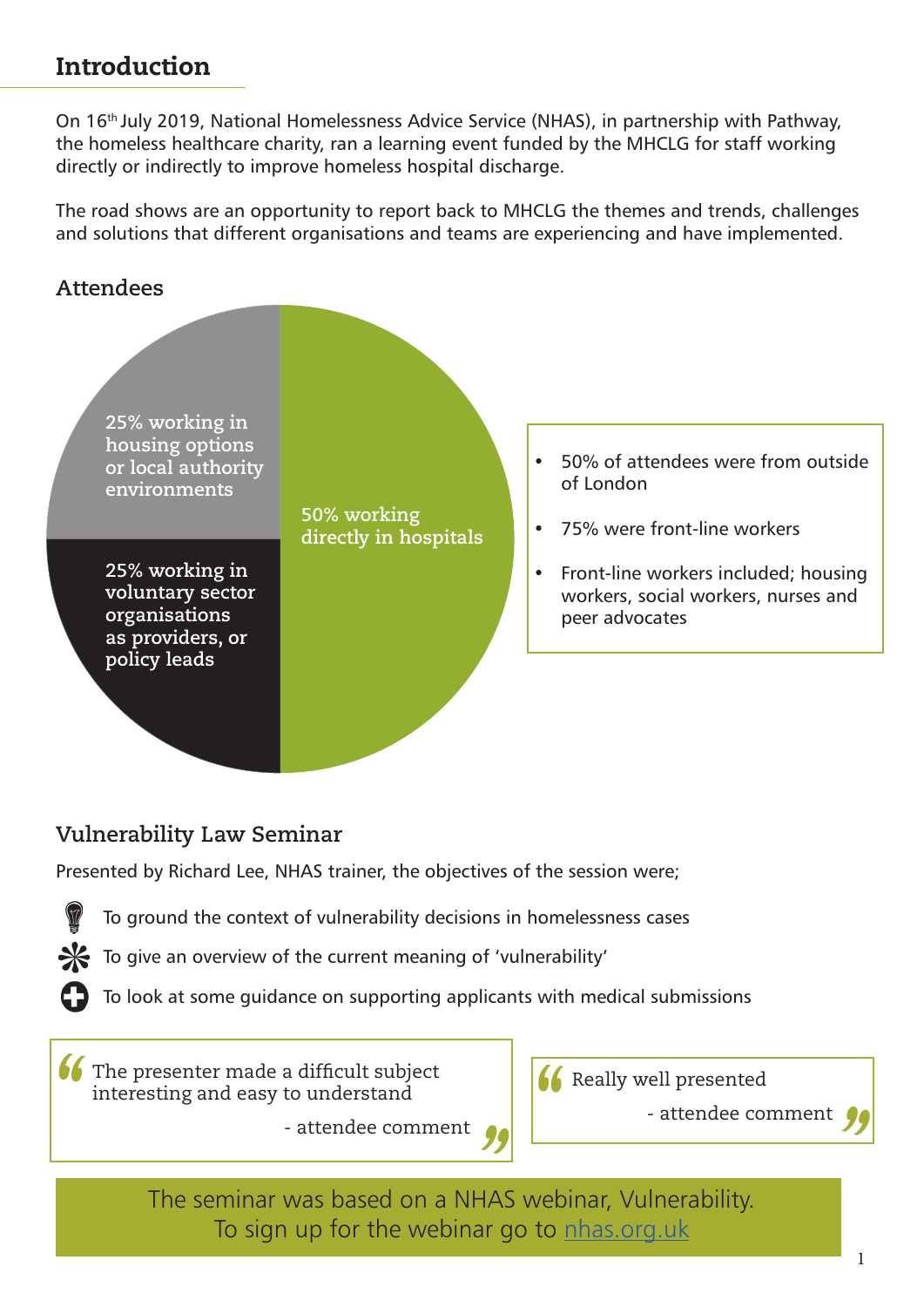## Introduction

On 16th July 2019, National Homelessness Advice Service (NHAS), in partnership with Pathway, the homeless healthcare charity, ran a learning event funded by the MHCLG for staff working directly or indirectly to improve homeless hospital discharge.

The road shows are an opportunity to report back to MHCLG the themes and trends, challenges and solutions that different organisations and teams are experiencing and have implemented.

## **Attendees**



## **Vulnerability Law Seminar**

Presented by Richard Lee, NHAS trainer, the objectives of the session were;



To ground the context of vulnerability decisions in homelessness cases

 $\mathcal{H}$  To give an overview of the current meaning of 'vulnerability'

- attendee comment

To look at some guidance on supporting applicants with medical submissions

**66** The presenter made a difficult subject interesting and easy to understand



- attendee comment

The seminar was based on a NHAS webinar, Vulnerability. To sign up for the webinar go to [nhas.org.uk](http://nhas.org.uk)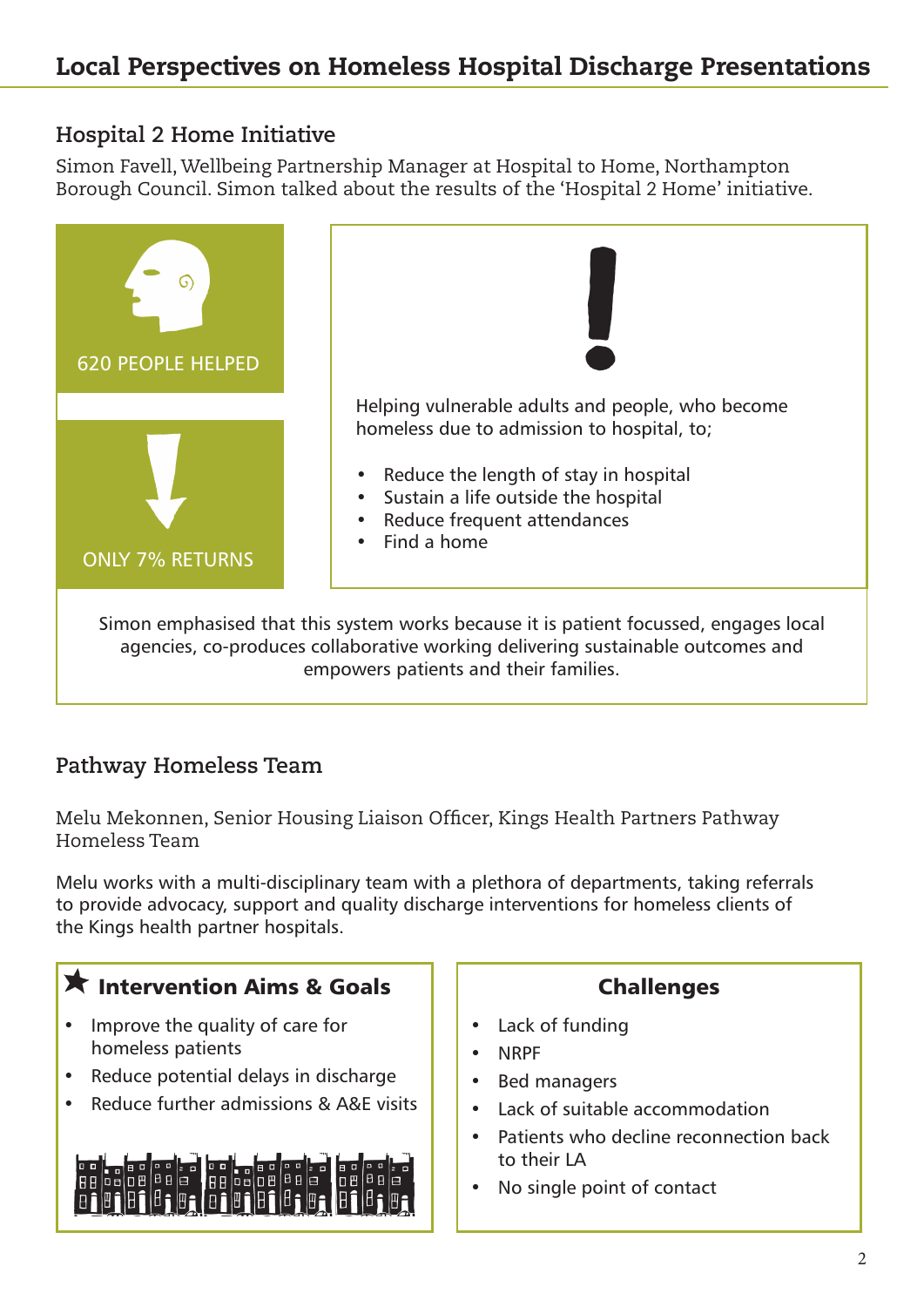## **Hospital 2 Home Initiative**

Simon Favell, Wellbeing Partnership Manager at Hospital to Home, Northampton Borough Council. Simon talked about the results of the 'Hospital 2 Home' initiative.



agencies, co-produces collaborative working delivering sustainable outcomes and empowers patients and their families.

## **Pathway Homeless Team**

Melu Mekonnen, Senior Housing Liaison Officer, Kings Health Partners Pathway Homeless Team

Melu works with a multi-disciplinary team with a plethora of departments, taking referrals to provide advocacy, support and quality discharge interventions for homeless clients of the Kings health partner hospitals.

# **The Intervention Aims & Goals**

- Improve the quality of care for homeless patients
- Reduce potential delays in discharge
- Reduce further admissions & A&E visits



## Challenges

- Lack of funding
- NRPF
- Bed managers
- Lack of suitable accommodation
- Patients who decline reconnection back to their LA
- No single point of contact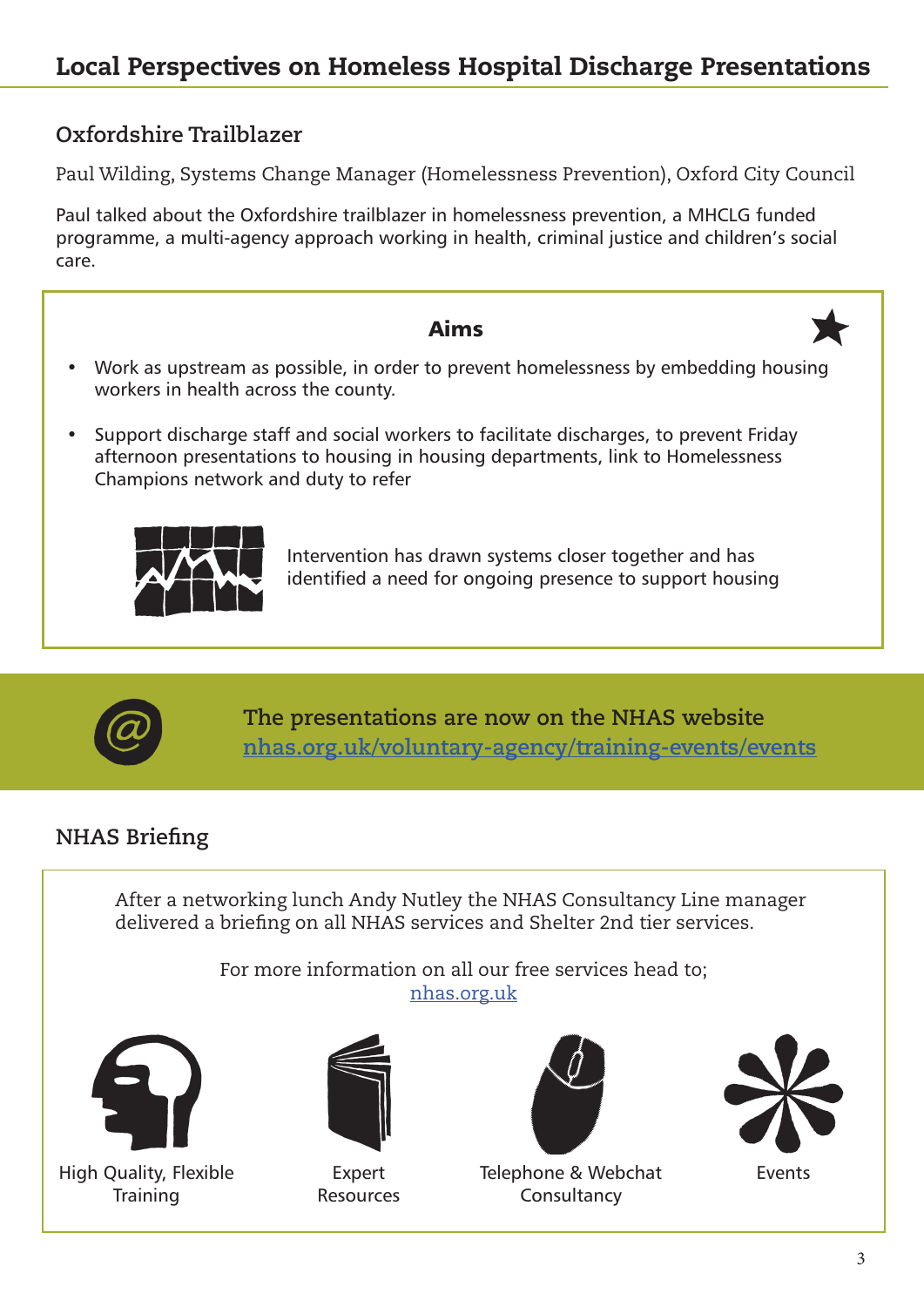## **Oxfordshire Trailblazer**

Paul Wilding, Systems Change Manager (Homelessness Prevention), Oxford City Council

Paul talked about the Oxfordshire trailblazer in homelessness prevention, a MHCLG funded programme, a multi-agency approach working in health, criminal justice and children's social care.

| Aims                                                                                                                                                                                                             |  |
|------------------------------------------------------------------------------------------------------------------------------------------------------------------------------------------------------------------|--|
| Work as upstream as possible, in order to prevent homelessness by embedding housing<br>workers in health across the county.                                                                                      |  |
| Support discharge staff and social workers to facilitate discharges, to prevent Friday<br>afternoon presentations to housing in housing departments, link to Homelessness<br>Champions network and duty to refer |  |
| Intervention has drawn systems closer together and has<br>identified a need for ongoing presence to support housing                                                                                              |  |
|                                                                                                                                                                                                                  |  |



**The presentations are now on the NHAS website [nhas.org.uk/voluntary-agency/training-events/events](http://nhas.org.uk/voluntary-agency/training-events/events)**

## **NHAS Briefing**

After a networking lunch Andy Nutley the NHAS Consultancy Line manager delivered a briefing on all NHAS services and Shelter 2nd tier services.

> For more information on all our free services head to; [nhas.org.uk](http://nhas.org.uk)





High Quality, Flexible **Training** 

Expert Resources



Telephone & Webchat Consultancy



Events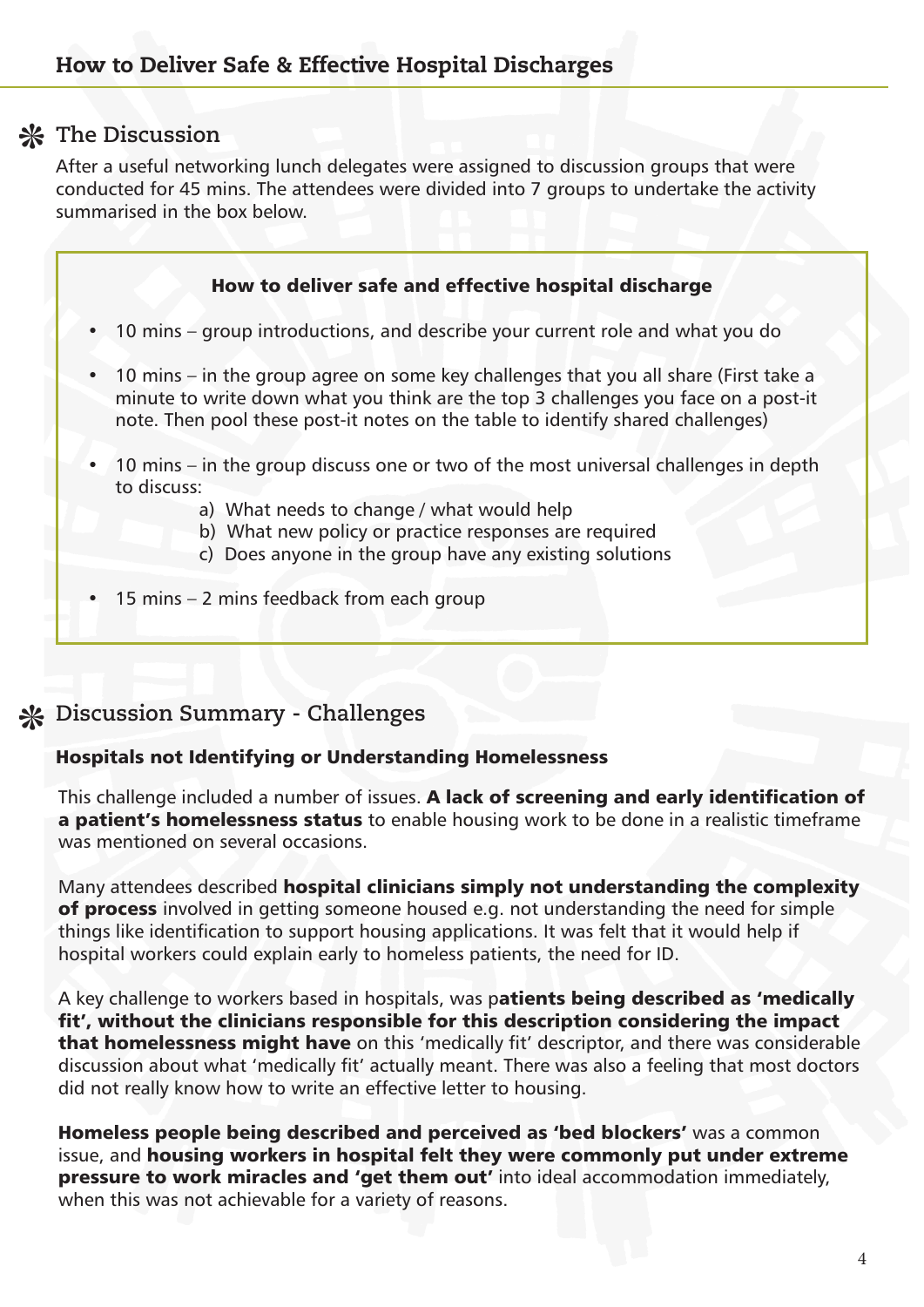## **The Discussion**

After a useful networking lunch delegates were assigned to discussion groups that were conducted for 45 mins. The attendees were divided into 7 groups to undertake the activity summarised in the box below.

#### How to deliver safe and effective hospital discharge

- 10 mins group introductions, and describe your current role and what you do
- 10 mins in the group agree on some key challenges that you all share (First take a minute to write down what you think are the top 3 challenges you face on a post-it note. Then pool these post-it notes on the table to identify shared challenges)
- 10 mins in the group discuss one or two of the most universal challenges in depth to discuss:
	- a) What needs to change / what would help
	- b) What new policy or practice responses are required
	- c) Does anyone in the group have any existing solutions
- 15 mins 2 mins feedback from each group

## **Discussion Summary - Challenges**

#### Hospitals not Identifying or Understanding Homelessness

This challenge included a number of issues. A lack of screening and early identification of a **patient's homelessness status** to enable housing work to be done in a realistic timeframe was mentioned on several occasions.

Many attendees described hospital clinicians simply not understanding the complexity of process involved in getting someone housed e.g. not understanding the need for simple things like identification to support housing applications. It was felt that it would help if hospital workers could explain early to homeless patients, the need for ID.

A key challenge to workers based in hospitals, was patients being described as 'medically fit', without the clinicians responsible for this description considering the impact that homelessness might have on this 'medically fit' descriptor, and there was considerable discussion about what 'medically fit' actually meant. There was also a feeling that most doctors did not really know how to write an effective letter to housing.

Homeless people being described and perceived as 'bed blockers' was a common issue, and housing workers in hospital felt they were commonly put under extreme pressure to work miracles and 'get them out' into ideal accommodation immediately, when this was not achievable for a variety of reasons.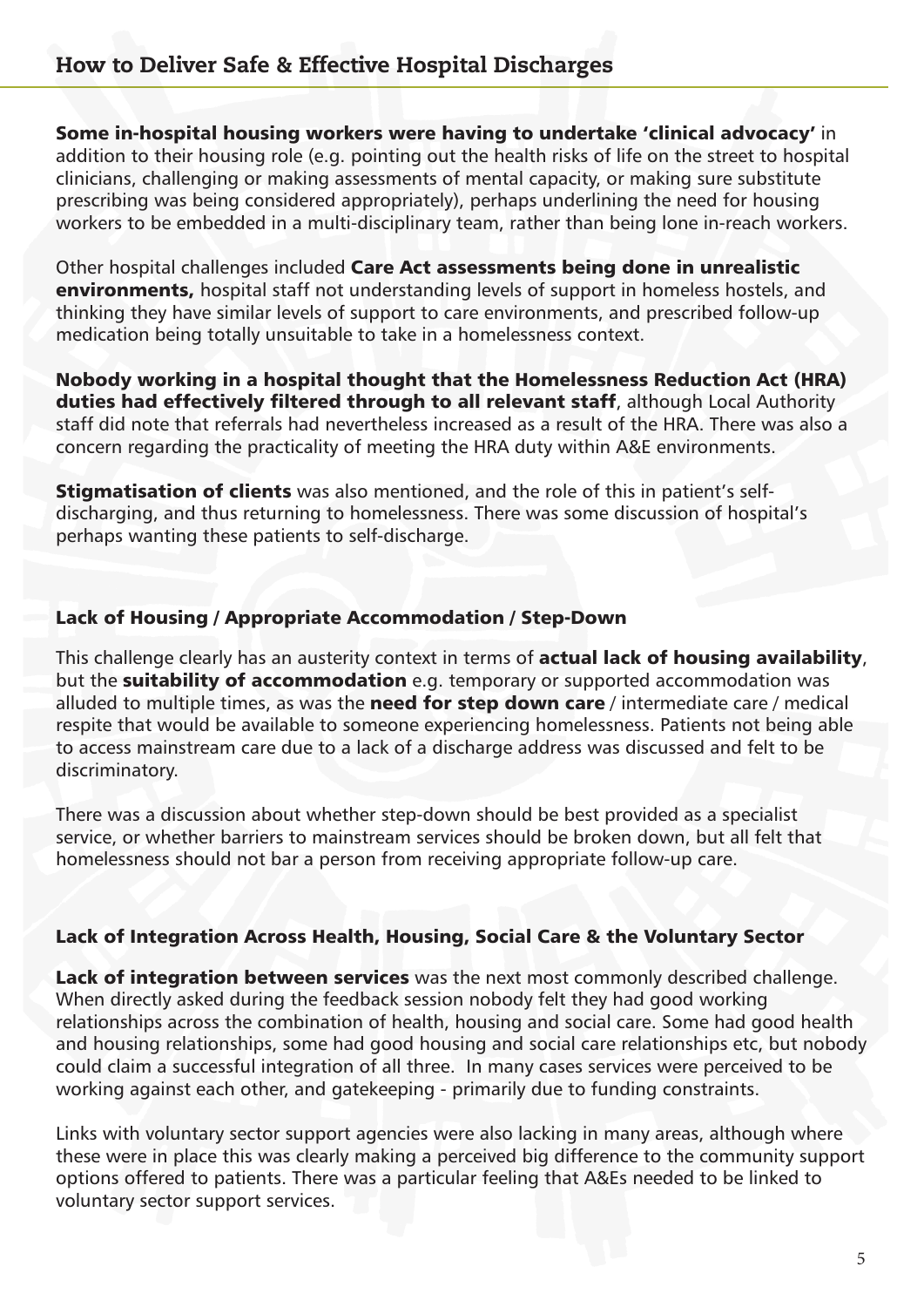Some in-hospital housing workers were having to undertake 'clinical advocacy' in addition to their housing role (e.g. pointing out the health risks of life on the street to hospital clinicians, challenging or making assessments of mental capacity, or making sure substitute prescribing was being considered appropriately), perhaps underlining the need for housing workers to be embedded in a multi-disciplinary team, rather than being lone in-reach workers.

Other hospital challenges included Care Act assessments being done in unrealistic environments, hospital staff not understanding levels of support in homeless hostels, and thinking they have similar levels of support to care environments, and prescribed follow-up medication being totally unsuitable to take in a homelessness context.

Nobody working in a hospital thought that the Homelessness Reduction Act (HRA) duties had effectively filtered through to all relevant staff, although Local Authority staff did note that referrals had nevertheless increased as a result of the HRA. There was also a concern regarding the practicality of meeting the HRA duty within A&E environments.

**Stigmatisation of clients** was also mentioned, and the role of this in patient's selfdischarging, and thus returning to homelessness. There was some discussion of hospital's perhaps wanting these patients to self-discharge.

#### Lack of Housing / Appropriate Accommodation / Step-Down

This challenge clearly has an austerity context in terms of actual lack of housing availability, but the **suitability of accommodation** e.g. temporary or supported accommodation was alluded to multiple times, as was the need for step down care / intermediate care / medical respite that would be available to someone experiencing homelessness. Patients not being able to access mainstream care due to a lack of a discharge address was discussed and felt to be discriminatory.

There was a discussion about whether step-down should be best provided as a specialist service, or whether barriers to mainstream services should be broken down, but all felt that homelessness should not bar a person from receiving appropriate follow-up care.

#### Lack of Integration Across Health, Housing, Social Care & the Voluntary Sector

Lack of integration between services was the next most commonly described challenge. When directly asked during the feedback session nobody felt they had good working relationships across the combination of health, housing and social care. Some had good health and housing relationships, some had good housing and social care relationships etc, but nobody could claim a successful integration of all three. In many cases services were perceived to be working against each other, and gatekeeping - primarily due to funding constraints.

Links with voluntary sector support agencies were also lacking in many areas, although where these were in place this was clearly making a perceived big difference to the community support options offered to patients. There was a particular feeling that A&Es needed to be linked to voluntary sector support services.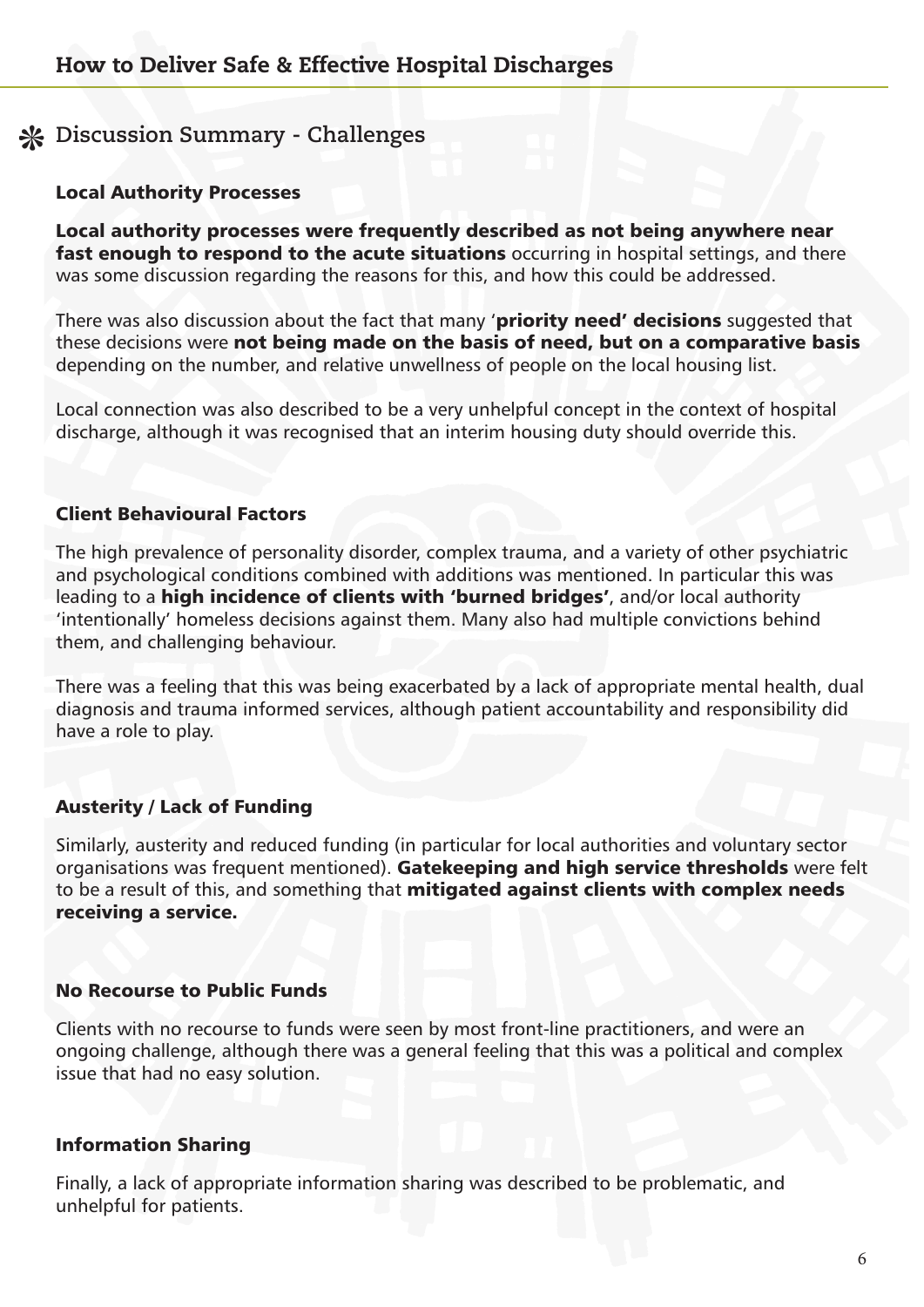## **Discussion Summary - Challenges**

#### Local Authority Processes

Local authority processes were frequently described as not being anywhere near fast enough to respond to the acute situations occurring in hospital settings, and there was some discussion regarding the reasons for this, and how this could be addressed.

There was also discussion about the fact that many 'priority need' decisions suggested that these decisions were not being made on the basis of need, but on a comparative basis depending on the number, and relative unwellness of people on the local housing list.

Local connection was also described to be a very unhelpful concept in the context of hospital discharge, although it was recognised that an interim housing duty should override this.

#### Client Behavioural Factors

The high prevalence of personality disorder, complex trauma, and a variety of other psychiatric and psychological conditions combined with additions was mentioned. In particular this was leading to a high incidence of clients with 'burned bridges', and/or local authority 'intentionally' homeless decisions against them. Many also had multiple convictions behind them, and challenging behaviour.

There was a feeling that this was being exacerbated by a lack of appropriate mental health, dual diagnosis and trauma informed services, although patient accountability and responsibility did have a role to play.

#### Austerity / Lack of Funding

Similarly, austerity and reduced funding (in particular for local authorities and voluntary sector organisations was frequent mentioned). Gatekeeping and high service thresholds were felt to be a result of this, and something that mitigated against clients with complex needs receiving a service.

#### No Recourse to Public Funds

Clients with no recourse to funds were seen by most front-line practitioners, and were an ongoing challenge, although there was a general feeling that this was a political and complex issue that had no easy solution.

#### Information Sharing

Finally, a lack of appropriate information sharing was described to be problematic, and unhelpful for patients.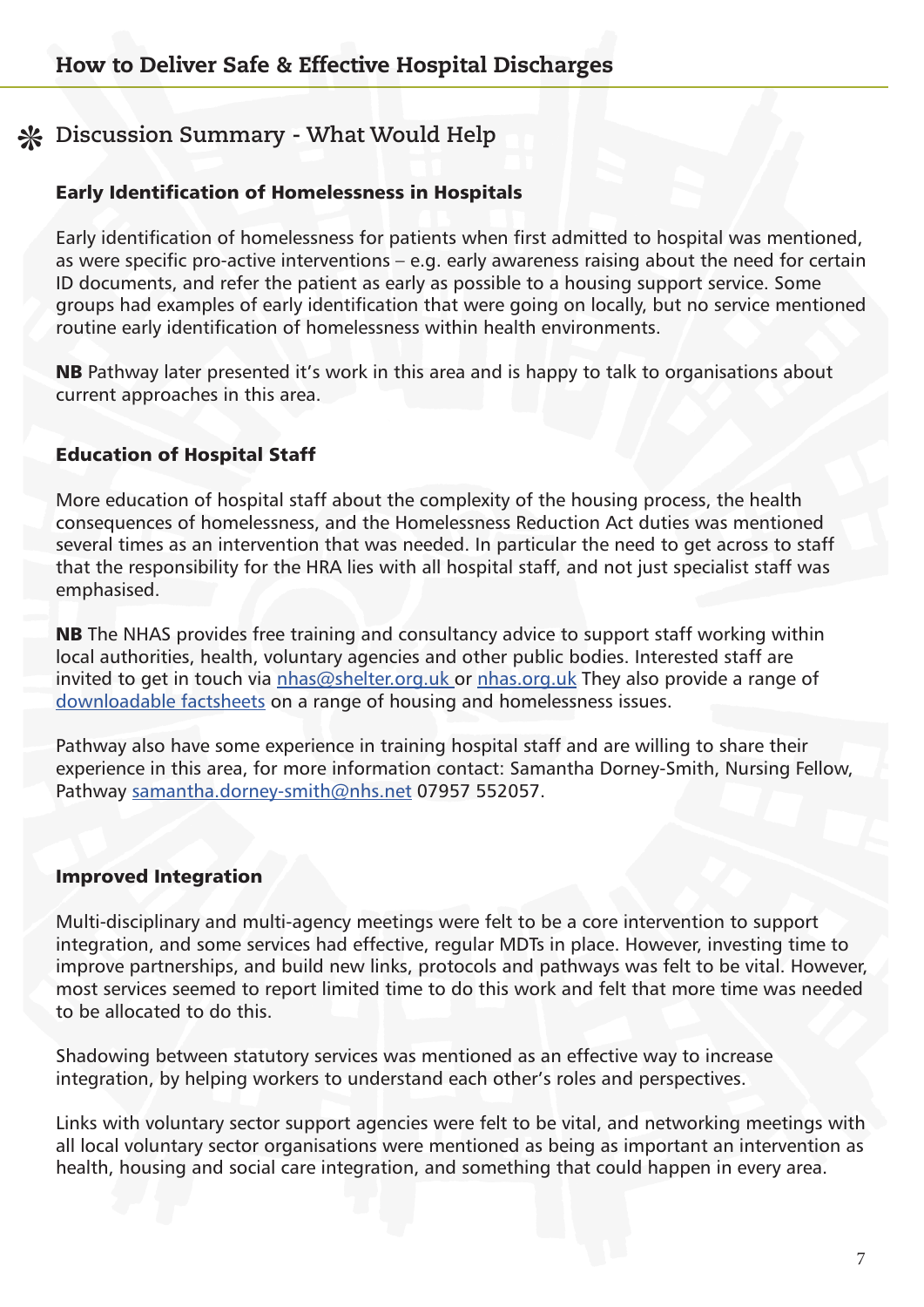## **Discussion Summary - What Would Help**

#### Early Identification of Homelessness in Hospitals

Early identification of homelessness for patients when first admitted to hospital was mentioned, as were specific pro-active interventions – e.g. early awareness raising about the need for certain ID documents, and refer the patient as early as possible to a housing support service. Some groups had examples of early identification that were going on locally, but no service mentioned routine early identification of homelessness within health environments.

NB Pathway later presented it's work in this area and is happy to talk to organisations about current approaches in this area.

#### Education of Hospital Staff

More education of hospital staff about the complexity of the housing process, the health consequences of homelessness, and the Homelessness Reduction Act duties was mentioned several times as an intervention that was needed. In particular the need to get across to staff that the responsibility for the HRA lies with all hospital staff, and not just specialist staff was emphasised.

NB The NHAS provides free training and consultancy advice to support staff working within local authorities, health, voluntary agencies and other public bodies. Interested staff are invited to get in touch via [nhas@shelter.org.uk o](mailto:nhas%40shelter.org.uk%20?subject=NHAS%20Services)r [nhas.org.uk](http://nhas.org.uk) They also provide a range of [downloadable factsheets](https://nhas.org.uk/factsheets) on a range of housing and homelessness issues.

Pathway also have some experience in training hospital staff and are willing to share their experience in this area, for more information contact: Samantha Dorney-Smith, Nursing Fellow, Pathway [samantha.dorney-smith@nhs.net](mailto:samantha.dorney-smith%40nhs.net?subject=) 07957 552057.

#### Improved Integration

Multi-disciplinary and multi-agency meetings were felt to be a core intervention to support integration, and some services had effective, regular MDTs in place. However, investing time to improve partnerships, and build new links, protocols and pathways was felt to be vital. However, most services seemed to report limited time to do this work and felt that more time was needed to be allocated to do this.

Shadowing between statutory services was mentioned as an effective way to increase integration, by helping workers to understand each other's roles and perspectives.

Links with voluntary sector support agencies were felt to be vital, and networking meetings with all local voluntary sector organisations were mentioned as being as important an intervention as health, housing and social care integration, and something that could happen in every area.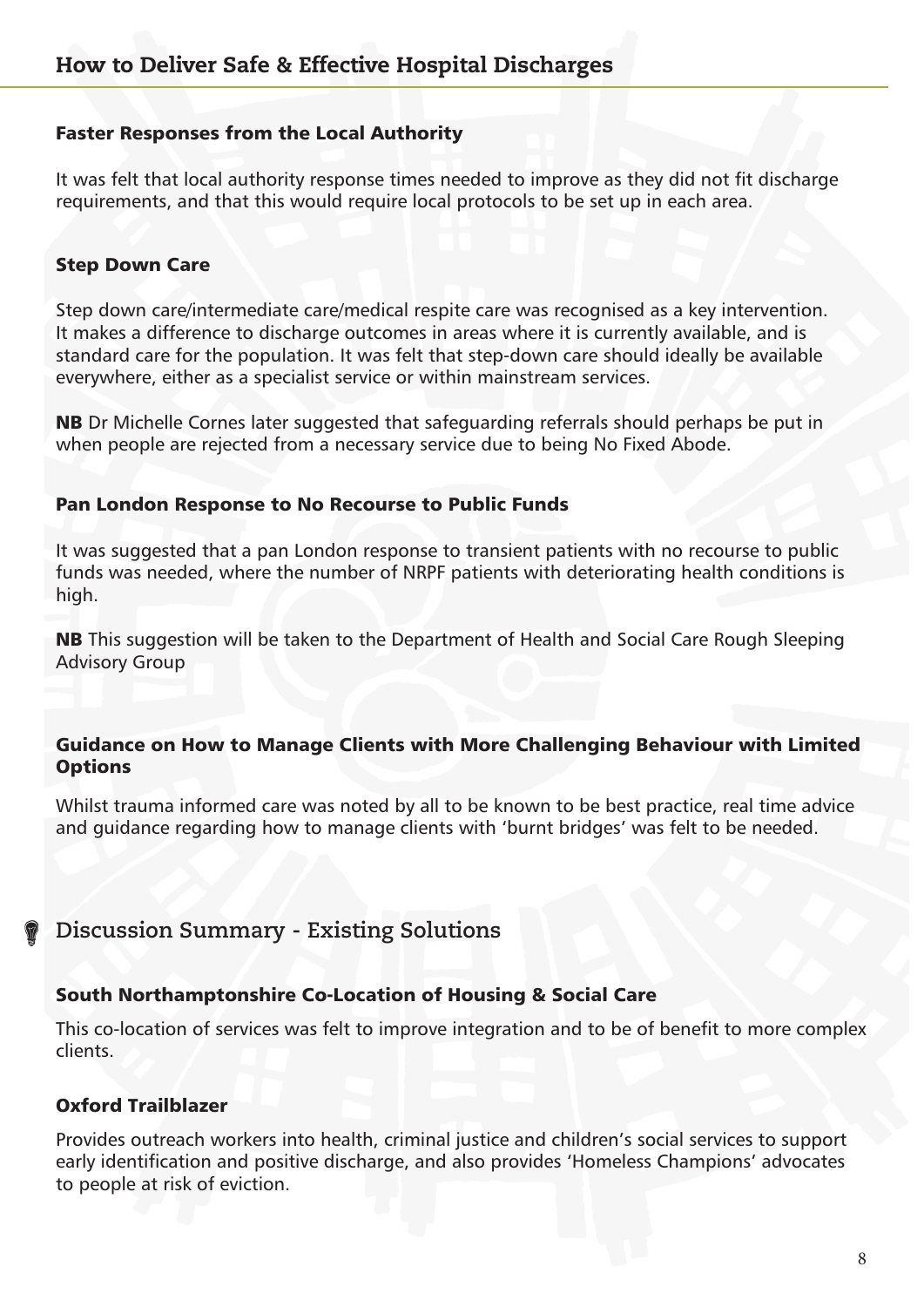#### Faster Responses from the Local Authority

It was felt that local authority response times needed to improve as they did not fit discharge requirements, and that this would require local protocols to be set up in each area.

#### Step Down Care

Step down care/intermediate care/medical respite care was recognised as a key intervention. It makes a difference to discharge outcomes in areas where it is currently available, and is standard care for the population. It was felt that step-down care should ideally be available everywhere, either as a specialist service or within mainstream services.

NB Dr Michelle Cornes later suggested that safeguarding referrals should perhaps be put in when people are rejected from a necessary service due to being No Fixed Abode.

#### Pan London Response to No Recourse to Public Funds

It was suggested that a pan London response to transient patients with no recourse to public funds was needed, where the number of NRPF patients with deteriorating health conditions is high.

NB This suggestion will be taken to the Department of Health and Social Care Rough Sleeping Advisory Group

#### Guidance on How to Manage Clients with More Challenging Behaviour with Limited **Options**

Whilst trauma informed care was noted by all to be known to be best practice, real time advice and guidance regarding how to manage clients with 'burnt bridges' was felt to be needed.

#### **Discussion Summary - Existing Solutions**

#### South Northamptonshire Co-Location of Housing & Social Care

This co-location of services was felt to improve integration and to be of benefit to more complex clients.

#### Oxford Trailblazer

Provides outreach workers into health, criminal justice and children's social services to support early identification and positive discharge, and also provides 'Homeless Champions' advocates to people at risk of eviction.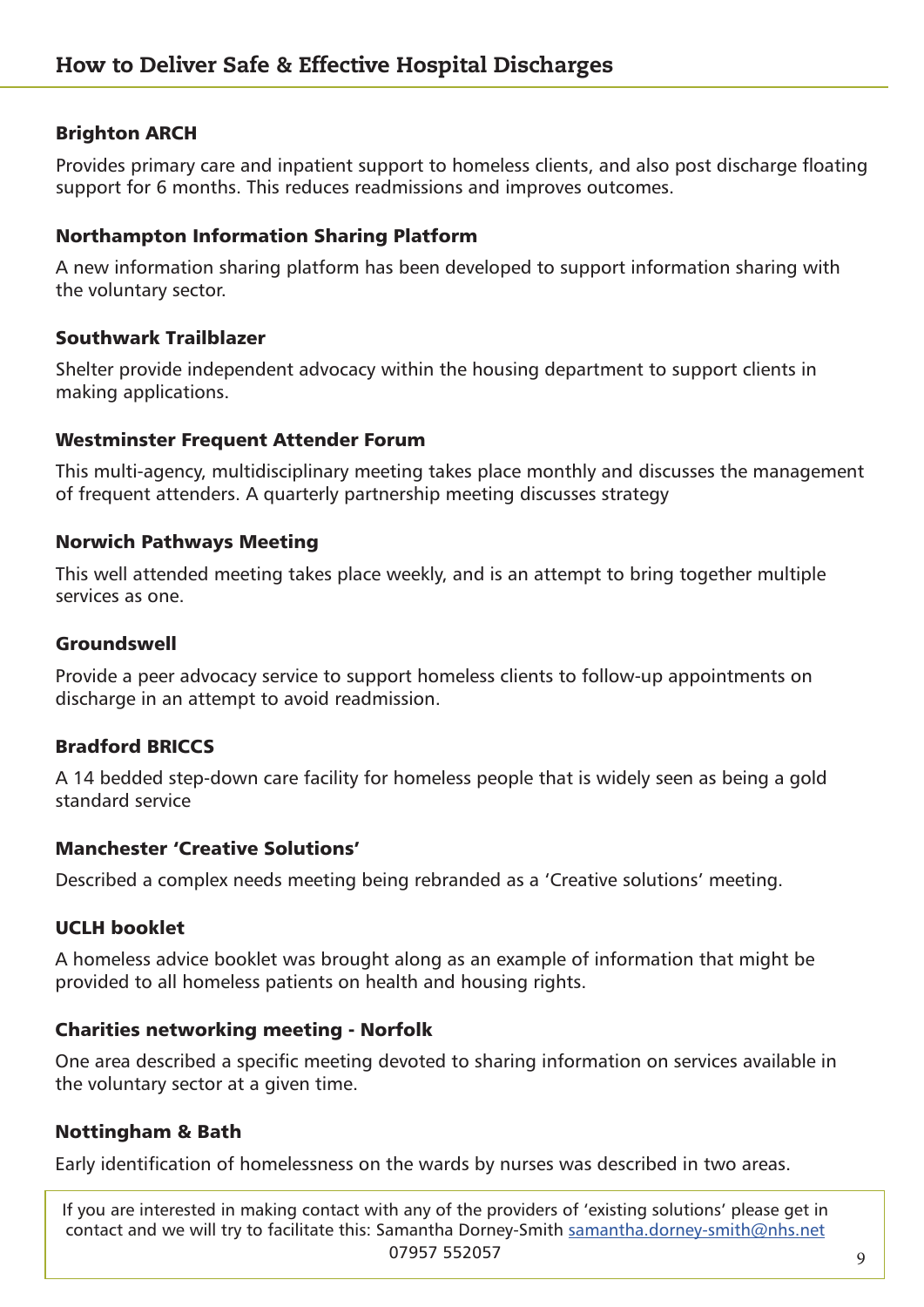#### Brighton ARCH

Provides primary care and inpatient support to homeless clients, and also post discharge floating support for 6 months. This reduces readmissions and improves outcomes.

#### Northampton Information Sharing Platform

A new information sharing platform has been developed to support information sharing with the voluntary sector.

#### Southwark Trailblazer

Shelter provide independent advocacy within the housing department to support clients in making applications.

#### Westminster Frequent Attender Forum

This multi-agency, multidisciplinary meeting takes place monthly and discusses the management of frequent attenders. A quarterly partnership meeting discusses strategy

#### Norwich Pathways Meeting

This well attended meeting takes place weekly, and is an attempt to bring together multiple services as one.

#### Groundswell

Provide a peer advocacy service to support homeless clients to follow-up appointments on discharge in an attempt to avoid readmission.

#### Bradford BRICCS

A 14 bedded step-down care facility for homeless people that is widely seen as being a gold standard service

#### Manchester 'Creative Solutions'

Described a complex needs meeting being rebranded as a 'Creative solutions' meeting.

#### UCLH booklet

A homeless advice booklet was brought along as an example of information that might be provided to all homeless patients on health and housing rights.

#### Charities networking meeting - Norfolk

One area described a specific meeting devoted to sharing information on services available in the voluntary sector at a given time.

#### Nottingham & Bath

Early identification of homelessness on the wards by nurses was described in two areas.

If you are interested in making contact with any of the providers of 'existing solutions' please get in contact and we will try to facilitate this: Samantha Dorney-Smith [samantha.dorney-smith@nhs.net](mailto:samantha.dorney-smith%40nhs.net?subject=) 07957 552057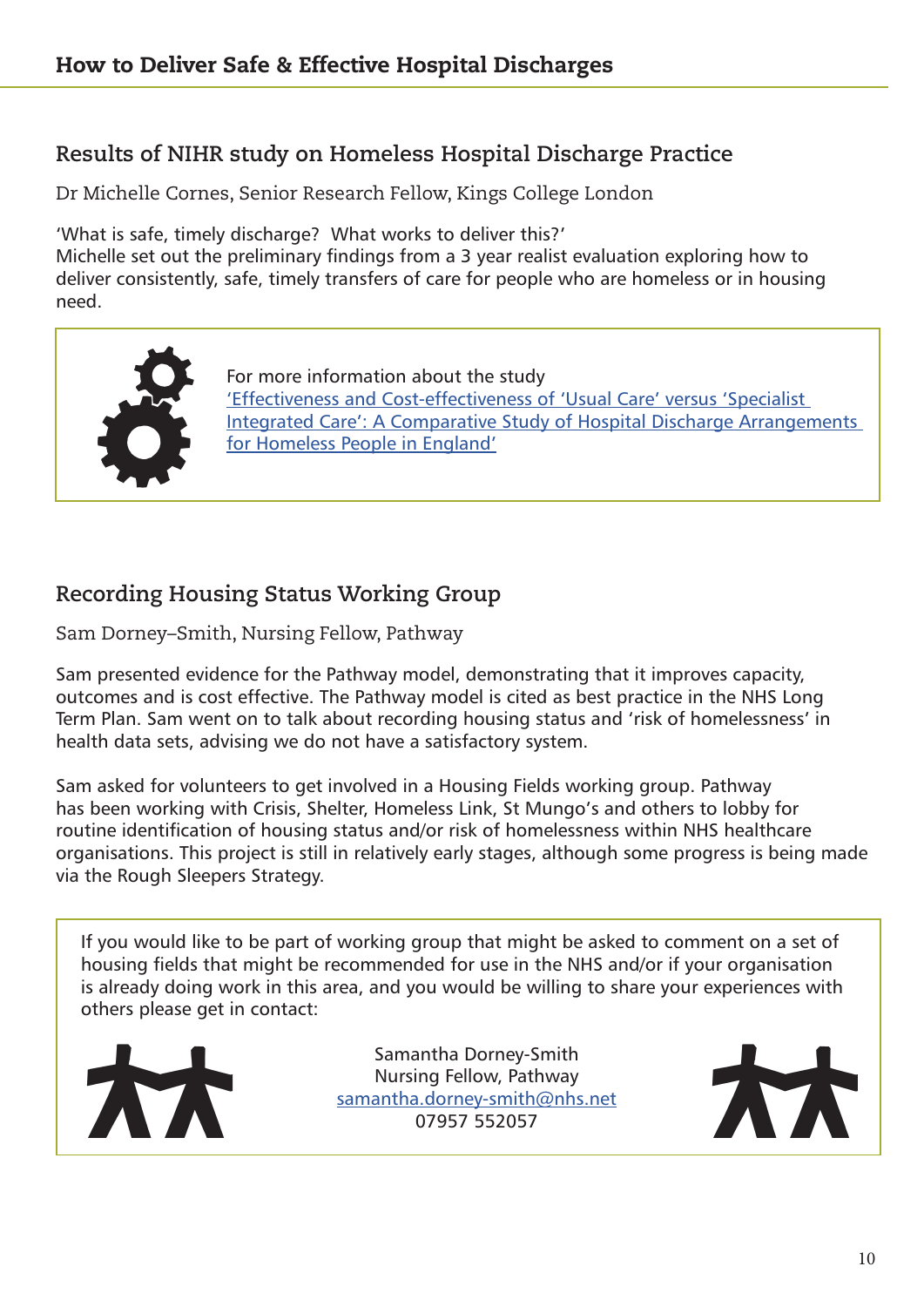## **Results of NIHR study on Homeless Hospital Discharge Practice**

Dr Michelle Cornes, Senior Research Fellow, Kings College London

'What is safe, timely discharge? What works to deliver this?'

Michelle set out the preliminary findings from a 3 year realist evaluation exploring how to deliver consistently, safe, timely transfers of care for people who are homeless or in housing need.



For more information about the study ['Effectiveness and Cost-effectiveness of 'Usual Care' versus 'Specialist]( ‘Effectiveness and Cost-effectiveness of  ‘Usual Care’ versus ‘Specialist Integrated Care’: A Compa)  [Integrated Care': A Comparative Study of Hospital Discharge Arrangements]( ‘Effectiveness and Cost-effectiveness of  ‘Usual Care’ versus ‘Specialist Integrated Care’: A Compa)  [for Homeless People in England']( ‘Effectiveness and Cost-effectiveness of  ‘Usual Care’ versus ‘Specialist Integrated Care’: A Compa)

## **Recording Housing Status Working Group**

Sam Dorney–Smith, Nursing Fellow, Pathway

Sam presented evidence for the Pathway model, demonstrating that it improves capacity, outcomes and is cost effective. The Pathway model is cited as best practice in the NHS Long Term Plan. Sam went on to talk about recording housing status and 'risk of homelessness' in health data sets, advising we do not have a satisfactory system.

Sam asked for volunteers to get involved in a Housing Fields working group. Pathway has been working with Crisis, Shelter, Homeless Link, St Mungo's and others to lobby for routine identification of housing status and/or risk of homelessness within NHS healthcare organisations. This project is still in relatively early stages, although some progress is being made via the Rough Sleepers Strategy.

If you would like to be part of working group that might be asked to comment on a set of housing fields that might be recommended for use in the NHS and/or if your organisation is already doing work in this area, and you would be willing to share your experiences with others please get in contact:



Samantha Dorney-Smith Nursing Fellow, Pathway [samantha.dorney-smith@nhs.net](mailto:samantha.dorney-smith%40nhs.net?subject=) 07957 552057